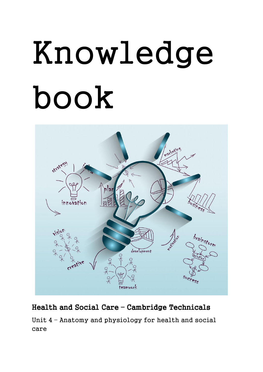# Knowledge book



# Health and Social Care – Cambridge Technicals

Unit 4 – Anatomy and physiology for health and social care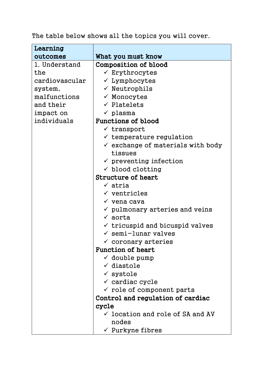The table below shows all the topics you will cover.

| Learning       |                                              |
|----------------|----------------------------------------------|
| outcomes       | What you must know                           |
| 1. Understand  | Composition of blood                         |
| the            | $\checkmark$ Erythrocytes                    |
| cardiovascular | $\checkmark$ Lymphocytes                     |
| system,        | $\checkmark$ Neutrophils                     |
| malfunctions   | $\checkmark$ Monocytes                       |
| and their      | $\checkmark$ Platelets                       |
| impact on      | $\checkmark$ plasma                          |
| individuals    | Functions of blood                           |
|                | $\checkmark$ transport                       |
|                | $\checkmark$ temperature regulation          |
|                | $\checkmark$ exchange of materials with body |
|                | tissues                                      |
|                | $\checkmark$ preventing infection            |
|                | $\checkmark$ blood clotting                  |
|                | <b>Structure of heart</b>                    |
|                | $\checkmark$ atria                           |
|                | $\checkmark$ ventricles                      |
|                | $\checkmark$ vena cava                       |
|                | $\checkmark$ pulmonary arteries and veins    |
|                | $\checkmark$ aorta                           |
|                | $\checkmark$ tricuspid and bicuspid valves   |
|                | $\checkmark$ semi-lunar valves               |
|                | $\checkmark$ coronary arteries               |
|                | <b>Function of heart</b>                     |
|                | $\checkmark$ double pump                     |
|                | $\checkmark$ diastole                        |
|                | $\checkmark$ systole                         |
|                | $\checkmark$ cardiac cycle                   |
|                | $\checkmark$ role of component parts         |
|                | Control and regulation of cardiac            |
|                | cycle                                        |
|                | $\checkmark$ location and role of SA and AV  |
|                | nodes                                        |
|                | $\checkmark$ Purkyne fibres                  |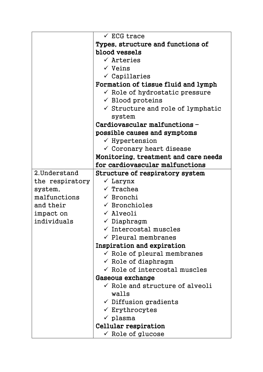|                 | $\checkmark$ ECG trace                       |
|-----------------|----------------------------------------------|
|                 | Types, structure and functions of            |
|                 | blood vessels                                |
|                 | $\checkmark$ Arteries                        |
|                 | $\checkmark$ Veins                           |
|                 | $\checkmark$ Capillaries                     |
|                 | Formation of tissue fluid and lymph          |
|                 | $\checkmark$ Role of hydrostatic pressure    |
|                 | $\checkmark$ Blood proteins                  |
|                 | $\checkmark$ Structure and role of lymphatic |
|                 | system                                       |
|                 | Cardiovascular malfunctions -                |
|                 | possible causes and symptoms                 |
|                 | $\checkmark$ Hypertension                    |
|                 | $\checkmark$ Coronary heart disease          |
|                 | Monitoring, treatment and care needs         |
|                 | for cardiovascular malfunctions              |
| 2. Understand   | Structure of respiratory system              |
| the respiratory | $\checkmark$ Larynx                          |
| system,         | $\checkmark$ Trachea                         |
| malfunctions    | $\checkmark$ Bronchi                         |
| and their       | $\checkmark$ Bronchioles                     |
| impact on       | $\checkmark$ Alveoli                         |
| individuals     | $\checkmark$ Diaphragm                       |
|                 | $\checkmark$ Intercostal muscles             |
|                 | $\checkmark$ Pleural membranes               |
|                 | Inspiration and expiration                   |
|                 | $\checkmark$ Role of pleural membranes       |
|                 | $\checkmark$ Role of diaphragm               |
|                 | $\checkmark$ Role of intercostal muscles     |
|                 | Gaseous exchange                             |
|                 | $\checkmark$ Role and structure of alveoli   |
|                 | walls                                        |
|                 | $\checkmark$ Diffusion gradients             |
|                 | $\checkmark$ Erythrocytes                    |
|                 | $\checkmark$ plasma                          |
|                 | Cellular respiration                         |
|                 | $\checkmark$ Role of glucose                 |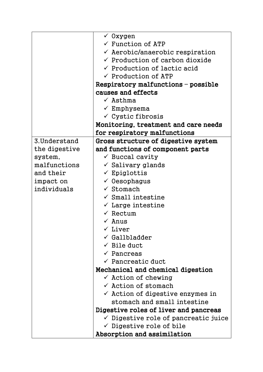|               | $\checkmark$ Oxygen                             |
|---------------|-------------------------------------------------|
|               | $\checkmark$ Function of ATP                    |
|               | $\checkmark$ Aerobic/anaerobic respiration      |
|               | $\checkmark$ Production of carbon dioxide       |
|               | $\checkmark$ Production of lactic acid          |
|               | $\checkmark$ Production of ATP                  |
|               | Respiratory malfunctions - possible             |
|               | causes and effects                              |
|               | $\checkmark$ Asthma                             |
|               | $\checkmark$ Emphysema                          |
|               | $\checkmark$ Cystic fibrosis                    |
|               | Monitoring, treatment and care needs            |
|               | for respiratory malfunctions                    |
| 3. Understand | Gross structure of digestive system             |
| the digestive | and functions of component parts                |
| system,       | $\checkmark$ Buccal cavity                      |
| malfunctions  | $\checkmark$ Salivary glands                    |
| and their     | $\checkmark$ Epiglottis                         |
| impact on     | $\checkmark$ 0esophagus                         |
| individuals   | $\checkmark$ Stomach                            |
|               | $\checkmark$ Small intestine                    |
|               | $\checkmark$ Large intestine                    |
|               | $\checkmark$ Rectum                             |
|               | $\checkmark$ Anus                               |
|               | $\checkmark$ Liver                              |
|               | $\checkmark$ Gallbladder                        |
|               | $\checkmark$ Bile duct                          |
|               | $\checkmark$ Pancreas                           |
|               | $\checkmark$ Pancreatic duct                    |
|               | Mechanical and chemical digestion               |
|               | $\checkmark$ Action of chewing                  |
|               | $\checkmark$ Action of stomach                  |
|               | $\checkmark$ Action of digestive enzymes in     |
|               | stomach and small intestine                     |
|               | Digestive roles of liver and pancreas           |
|               | $\checkmark$ Digestive role of pancreatic juice |
|               | $\checkmark$ Digestive role of bile             |
|               | Absorption and assimilation                     |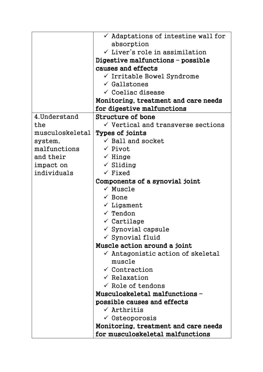|                 | $\checkmark$ Adaptations of intestine wall for |
|-----------------|------------------------------------------------|
|                 | absorption                                     |
|                 | $\checkmark$ Liver's role in assimilation      |
|                 | Digestive malfunctions - possible              |
|                 | causes and effects                             |
|                 | $\checkmark$ Irritable Bowel Syndrome          |
|                 | $\checkmark$ Gallstones                        |
|                 | $\checkmark$ Coeliac disease                   |
|                 | Monitoring, treatment and care needs           |
|                 | for digestive malfunctions                     |
| 4. Understand   | Structure of bone                              |
| the             | $\checkmark$ Vertical and transverse sections  |
| musculoskeletal | Types of joints                                |
| system,         | $\checkmark$ Ball and socket                   |
| malfunctions    | $\checkmark$ Pivot                             |
| and their       | $\checkmark$ Hinge                             |
| impact on       | $\checkmark$ Sliding                           |
| individuals     | $\checkmark$ Fixed                             |
|                 | Components of a synovial joint                 |
|                 | $\checkmark$ Muscle                            |
|                 | $\checkmark$ Bone                              |
|                 | $\checkmark$ Ligament                          |
|                 | $\checkmark$ Tendon                            |
|                 | $\checkmark$ Cartilage                         |
|                 | $\checkmark$ Synovial capsule                  |
|                 | $\checkmark$ Synovial fluid                    |
|                 | Muscle action around a joint                   |
|                 | $\checkmark$ Antagonistic action of skeletal   |
|                 | muscle                                         |
|                 | $\checkmark$ Contraction                       |
|                 | $\checkmark$ Relaxation                        |
|                 | $\checkmark$ Role of tendons                   |
|                 | Musculoskeletal malfunctions -                 |
|                 | possible causes and effects                    |
|                 | $\checkmark$ Arthritis                         |
|                 | $\checkmark$ Osteoporosis                      |
|                 | Monitoring, treatment and care needs           |
|                 | for musculoskeletal malfunctions               |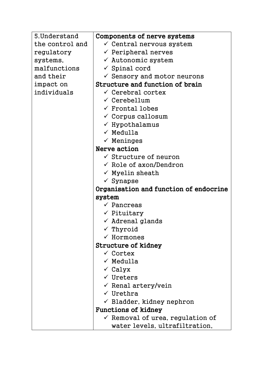| 5. Understand   | Components of nerve systems                 |
|-----------------|---------------------------------------------|
| the control and | $\checkmark$ Central nervous system         |
| regulatory      | $\checkmark$ Peripheral nerves              |
| systems,        | $\checkmark$ Autonomic system               |
| malfunctions    | $\checkmark$ Spinal cord                    |
| and their       | $\checkmark$ Sensory and motor neurons      |
| impact on       | Structure and function of brain             |
| individuals     | $\checkmark$ Cerebral cortex                |
|                 | $\checkmark$ Cerebellum                     |
|                 | $\checkmark$ Frontal lobes                  |
|                 | $\checkmark$ Corpus callosum                |
|                 | $\checkmark$ Hypothalamus                   |
|                 | $\checkmark$ Medulla                        |
|                 | $\checkmark$ Meninges                       |
|                 | Nerve action                                |
|                 | $\checkmark$ Structure of neuron            |
|                 | $\checkmark$ Role of axon/Dendron           |
|                 | $\checkmark$ Myelin sheath                  |
|                 | $\checkmark$ Synapse                        |
|                 | Organisation and function of endocrine      |
|                 | system                                      |
|                 | $\checkmark$ Pancreas                       |
|                 | $\checkmark$ Pituitary                      |
|                 | $\checkmark$ Adrenal glands                 |
|                 | $\checkmark$ Thyroid                        |
|                 | $\checkmark$ Hormones                       |
|                 | <b>Structure of kidney</b>                  |
|                 | $\checkmark$ Cortex                         |
|                 | $\checkmark$ Medulla                        |
|                 | $\checkmark$ Calyx                          |
|                 | $\checkmark$ Ureters                        |
|                 | $\checkmark$ Renal artery/vein              |
|                 | $\checkmark$ Urethra                        |
|                 | $\checkmark$ Bladder, kidney nephron        |
|                 | <b>Functions of kidney</b>                  |
|                 | $\checkmark$ Removal of urea, regulation of |
|                 | water levels, ultrafiltration,              |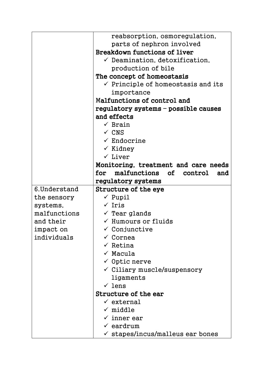|              | reabsorption, osmoregulation,                 |
|--------------|-----------------------------------------------|
|              | parts of nephron involved                     |
|              | Breakdown functions of liver                  |
|              | $\checkmark$ Deamination, detoxification,     |
|              | production of bile                            |
|              | The concept of homeostasis                    |
|              | $\checkmark$ Principle of homeostasis and its |
|              | importance                                    |
|              | Malfunctions of control and                   |
|              | regulatory systems – possible causes          |
|              | and effects                                   |
|              | $\checkmark$ Brain                            |
|              | $\checkmark$ CNS                              |
|              | $\checkmark$ Endocrine                        |
|              | $\checkmark$ Kidney                           |
|              | $\checkmark$ Liver                            |
|              | Monitoring, treatment and care needs          |
|              | malfunctions of control<br>for<br>and         |
|              | regulatory systems                            |
| 6.Understand | Structure of the eye                          |
| the sensory  | $\checkmark$ Pupil                            |
| systems,     | $\checkmark$ Iris                             |
| malfunctions | $\checkmark$ Tear glands                      |
| and their    | $\checkmark$ Humours or fluids                |
| impact on    | $\checkmark$ Conjunctive                      |
| individuals  | $\checkmark$ Cornea                           |
|              | $\checkmark$ Retina                           |
|              | $\checkmark$ Macula                           |
|              | $\checkmark$ Optic nerve                      |
|              | $\checkmark$ Ciliary muscle/suspensory        |
|              | ligaments                                     |
|              | $\checkmark$ lens                             |
|              | Structure of the ear                          |
|              | $\checkmark$ external                         |
|              | $\checkmark$ middle                           |
|              | $\checkmark$ inner ear                        |
|              | $\checkmark$ eardrum                          |
|              | $\checkmark$ stapes/incus/malleus ear bones   |
|              |                                               |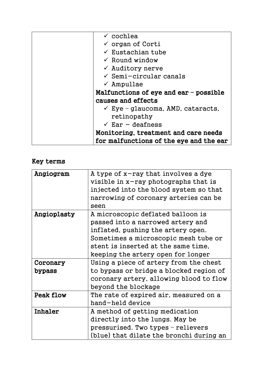| $\checkmark$ cochlea                         |
|----------------------------------------------|
| $\checkmark$ organ of Corti                  |
| $\checkmark$ Eustachian tube                 |
| $\checkmark$ Round window                    |
| $\checkmark$ Auditory nerve                  |
| $\checkmark$ Semi-circular canals            |
| $\checkmark$ Ampullae                        |
| Malfunctions of eye and ear $-$ possible     |
| causes and effects                           |
| $\checkmark$ Eye – glaucoma, AMD, cataracts, |
| retinopathy                                  |
| $\checkmark$ Ear – deafness                  |
| Monitoring, treatment and care needs         |
| for malfunctions of the eye and the ear      |

# Key terms

| Angiogram   | A type of x-ray that involves a dye<br>visible in $x$ -ray photographs that is<br>injected into the blood system so that<br>narrowing of coronary arteries can be<br>seen                                                         |
|-------------|-----------------------------------------------------------------------------------------------------------------------------------------------------------------------------------------------------------------------------------|
| Angioplasty | A microscopic deflated balloon is<br>passed into a narrowed artery and<br>inflated, pushing the artery open.<br>Sometimes a microscopic mesh tube or<br>stent is inserted at the same time.<br>keeping the artery open for longer |
| Coronary    | Using a piece of artery from the chest                                                                                                                                                                                            |
| bypass      | to bypass or bridge a blocked region of                                                                                                                                                                                           |
|             | coronary artery, allowing blood to flow                                                                                                                                                                                           |
|             | beyond the blockage                                                                                                                                                                                                               |
| Peak flow   | The rate of expired air, measured on a                                                                                                                                                                                            |
|             | hand-held device                                                                                                                                                                                                                  |
| Inhaler     | A method of getting medication                                                                                                                                                                                                    |
|             | directly into the lungs. May be                                                                                                                                                                                                   |
|             | $prescurised. Two types-relievers$                                                                                                                                                                                                |
|             | (blue) that dilate the bronchi during an                                                                                                                                                                                          |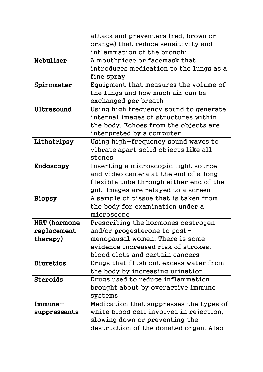|              | attack and preventers (red, brown or<br>orange) that reduce sensitivity and |
|--------------|-----------------------------------------------------------------------------|
|              | inflammation of the bronchi                                                 |
| Nebuliser    | A mouthpiece or facemask that                                               |
|              | introduces medication to the lungs as a<br>fine spray                       |
| Spirometer   | Equipment that measures the volume of                                       |
|              | the lungs and how much air can be                                           |
|              | exchanged per breath                                                        |
| Ultrasound   | Using high frequency sound to generate                                      |
|              | internal images of structures within                                        |
|              | the body. Echoes from the objects are                                       |
|              | interpreted by a computer                                                   |
| Lithotripsy  | Using high-frequency sound waves to                                         |
|              | vibrate apart solid objects like all                                        |
|              | stones                                                                      |
| Endoscopy    | Inserting a microscopic light source                                        |
|              | and video camera at the end of a long                                       |
|              | flexible tube through either end of the                                     |
|              | gut. Images are relayed to a screen                                         |
| Biopsy       | A sample of tissue that is taken from                                       |
|              | the body for examination under a                                            |
|              | microscope                                                                  |
| HRT (hormone | Prescribing the hormones oestrogen                                          |
| replacement  | and/or progesterone to post-                                                |
| therapy)     | menopausal women. There is some                                             |
|              | evidence increased risk of strokes,                                         |
|              | blood clots and certain cancers                                             |
| Diuretics    | Drugs that flush out excess water from                                      |
|              | the body by increasing urination                                            |
| Steroids     | Drugs used to reduce inflammation                                           |
|              | brought about by overactive immune                                          |
|              | systems                                                                     |
| Immune-      | Medication that suppresses the types of                                     |
| suppressants | white blood cell involved in rejection,                                     |
|              | slowing down or preventing the                                              |
|              | destruction of the donated organ. Also                                      |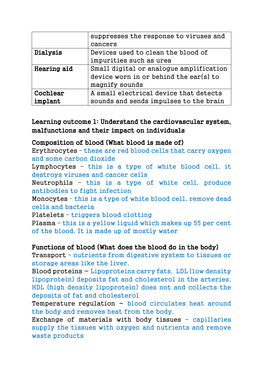|             | suppresses the response to viruses and  |
|-------------|-----------------------------------------|
|             | cancers                                 |
| Dialysis    | Devices used to clean the blood of      |
|             | impurities such as urea                 |
| Hearing aid | Small digital or analogue amplification |
|             | device worn in or behind the ear(s) to  |
|             | magnify sounds                          |
| Cochlear    | A small electrical device that detects  |
| implant     | sounds and sends impulses to the brain  |

# Learning outcome 1: Understand the cardiovascular system, malfunctions and their impact on individuals

# Composition of blood (What blood is made of)

Erythrocytes – these are red blood cells that carry oxygen and some carbon dioxide

Lymphocytes – this is a type of white blood cell, it destroys viruses and cancer cells

Neutrophils – this is a type of white cell, produce antibodies to fight infection

Monocytes – this is a type of white blood cell, remove dead cells and bacteria

Platelets – triggers blood clotting

Plasma – this is a yellow liquid which makes up 55 per cent of the blood. It is made up of mostly water

# Functions of blood (What does the blood do in the body)

Transport – nutrients from digestive system to tissues or storage areas like the liver.

Blood proteins - Lipoproteins carry fats. LDL (low density lipoprotein) deposits fat and cholesterol in the arteries, HDL (high density lipoprotein) does not and collects the deposits of fat and cholesterol

Temperature regulation  $-$  blood circulates heat around the body and removes heat from the body.

Exchange of materials with body tissues  $-$  capillaries supply the tissues with oxygen and nutrients and remove waste products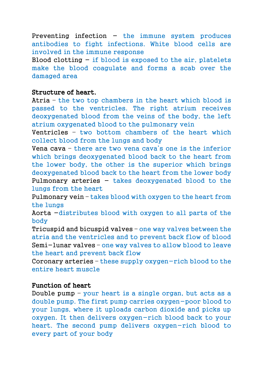Preventing infection  $-$  the immune system produces antibodies to fight infections. White blood cells are involved in the immune response Blood clotting - if blood is exposed to the air, platelets make the blood coagulate and forms a scab over the damaged area

#### Structure of heart.

Atria – the two top chambers in the heart which blood is passed to the ventricles. The right atrium receives deoxygenated blood from the veins of the body, the left atrium oxygenated blood to the pulmonary vein

Ventricles – two bottom chambers of the heart which collect blood from the lungs and body

Vena cava – there are two vena cava's one is the inferior which brings deoxygenated blood back to the heart from the lower body, the other is the superior which brings deoxygenated blood back to the heart from the lower body Pulmonary arteries - takes deoxygenated blood to the lungs from the heart

Pulmonary vein – takes blood with oxygen to the heart from the lungs

Aorta -distributes blood with oxygen to all parts of the body

Tricuspid and bicuspid valves – one way valves between the atria and the ventricles and to prevent back flow of blood Semi-lunar valves – one way valves to allow blood to leave the heart and prevent back flow

Coronary arteries – these supply oxygen-rich blood to the entire heart muscle

#### Function of heart

Double pump – your heart is a single organ, but acts as a double pump. The first pump carries oxygen-poor blood to your lungs, where it uploads carbon dioxide and picks up oxygen. It then delivers oxygen-rich blood back to your heart. The second pump delivers oxygen-rich blood to every part of your body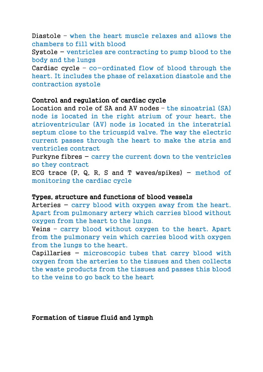Diastole – when the heart muscle relaxes and allows the chambers to fill with blood

Systole - ventricles are contracting to pump blood to the body and the lungs

Cardiac cycle – co-ordinated flow of blood through the heart. It includes the phase of relaxation diastole and the contraction systole

#### Control and regulation of cardiac cycle

Location and role of SA and AV nodes – the sinoatrial (SA) node is located in the right atrium of your heart, the atrioventricular (AV) node is located in the interatrial septum close to the tricuspid valve. The way the electric current passes through the heart to make the atria and ventricles contract

Purkyne fibres  $-$  carry the current down to the ventricles so they contract

ECG trace (P, Q, R, S and T waves/spikes) - method of monitoring the cardiac cycle

#### Types, structure and functions of blood vessels

Arteries  $-$  carry blood with oxygen away from the heart. Apart from pulmonary artery which carries blood without oxygen from the heart to the lungs.

Veins – carry blood without oxygen to the heart. Apart from the pulmonary vein which carries blood with oxygen from the lungs to the heart.

Capillaries - microscopic tubes that carry blood with oxygen from the arteries to the tissues and then collects the waste products from the tissues and passes this blood to the veins to go back to the heart

## Formation of tissue fluid and lymph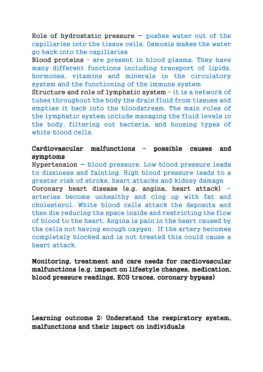Role of hydrostatic pressure  $-$  pushes water out of the capillaries into the tissue cells. Osmosis makes the water go back into the capillaries

Blood proteins – are present in blood plasma. They have many different functions including transport of lipids, hormones, vitamins and minerals in the circulatory system and the functioning of the immune system

Structure and role of lymphatic system – it is a network of tubes throughout the body the drain fluid from tissues and empties it back into the bloodstream. The main roles of the lymphatic system include managing the fluid levels in the body, filtering out bacteria, and housing types of white blood cells.

## Cardiovascular malfunctions – possible causes and symptoms

 $Hypertension - blood pressure.$  Low blood pressure leads to dizziness and fainting. High blood pressure leads to a greater risk of stroke, heart attacks and kidney damage Coronary heart disease (e.g. angina, heart attack)  $$ arteries become unhealthy and clog up with fat and cholesterol. White blood cells attack the deposits and then die reducing the space inside and restricting the flow of blood to the heart. Angina is pain in the heart caused by the cells not having enough oxygen. If the artery becomes completely blocked and is not treated this could cause a heart attack.

## Monitoring, treatment and care needs for cardiovascular malfunctions (e.g. impact on lifestyle changes, medication, blood pressure readings, ECG traces, coronary bypass)

Learning outcome 2: Understand the respiratory system, malfunctions and their impact on individuals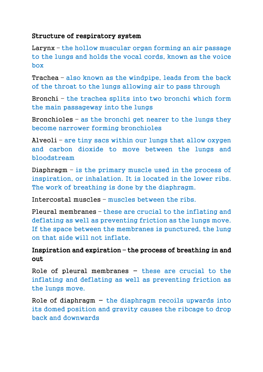## Structure of respiratory system

Larynx – the hollow muscular organ forming an air passage to the lungs and holds the vocal cords, known as the voice box

Trachea – also known as the windpipe, leads from the back of the throat to the lungs allowing air to pass through

Bronchi – the trachea splits into two bronchi which form the main passageway into the lungs

Bronchioles – as the bronchi get nearer to the lungs they become narrower forming bronchioles

Alveoli – are tiny sacs within our lungs that allow oxygen and carbon dioxide to move between the lungs and bloodstream

Diaphragm – is the primary muscle used in the process of inspiration, or inhalation. It is located in the lower ribs. The work of breathing is done by the diaphragm.

Intercostal muscles – muscles between the ribs.

Pleural membranes – these are crucial to the inflating and deflating as well as preventing friction as the lungs move. If the space between the membranes is punctured, the lung on that side will not inflate.

# Inspiration and expiration – the process of breathing in and out

Role of pleural membranes  $-$  these are crucial to the inflating and deflating as well as preventing friction as the lungs move.

Role of diaphragm  $-$  the diaphragm recoils upwards into its domed position and gravity causes the ribcage to drop back and downwards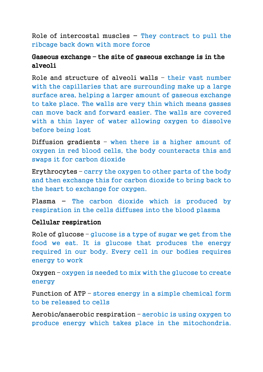Role of intercostal muscles  $-$  They contract to pull the ribcage back down with more force

## Gaseous exchange – the site of gaseous exchange is in the alveoli

Role and structure of alveoli walls – their vast number with the capillaries that are surrounding make up a large surface area, helping a larger amount of gaseous exchange to take place. The walls are very thin which means gasses can move back and forward easier. The walls are covered with a thin layer of water allowing oxygen to dissolve before being lost

Diffusion gradients – when there is a higher amount of oxygen in red blood cells, the body counteracts this and swaps it for carbon dioxide

Erythrocytes – carry the oxygen to other parts of the body and then exchange this for carbon dioxide to bring back to the heart to exchange for oxygen.

Plasma - The carbon dioxide which is produced by respiration in the cells diffuses into the blood plasma

#### Cellular respiration

Role of glucose – glucose is a type of sugar we get from the food we eat. It is glucose that produces the energy required in our body. Every cell in our bodies requires energy to work

Oxygen – oxygen is needed to mix with the glucose to create energy

Function of ATP – stores energy in a simple chemical form to be released to cells

Aerobic/anaerobic respiration – aerobic is using oxygen to produce energy which takes place in the mitochondria.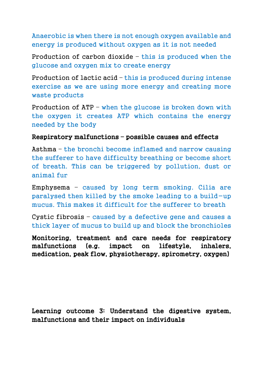Anaerobic is when there is not enough oxygen available and energy is produced without oxygen as it is not needed

Production of carbon dioxide – this is produced when the glucose and oxygen mix to create energy

Production of lactic acid – this is produced during intense exercise as we are using more energy and creating more waste products

Production of ATP – when the glucose is broken down with the oxygen it creates ATP which contains the energy needed by the body

#### Respiratory malfunctions – possible causes and effects

Asthma – the bronchi become inflamed and narrow causing the sufferer to have difficulty breathing or become short of breath. This can be triggered by pollution, dust or animal fur

Emphysema – caused by long term smoking. Cilia are paralysed then killed by the smoke leading to a build-up mucus. This makes it difficult for the sufferer to breath

Cystic fibrosis – caused by a defective gene and causes a thick layer of mucus to build up and block the bronchioles

Monitoring, treatment and care needs for respiratory malfunctions (e.g. impact on lifestyle, inhalers, medication, peak flow, physiotherapy, spirometry, oxygen)

Learning outcome 3: Understand the digestive system, malfunctions and their impact on individuals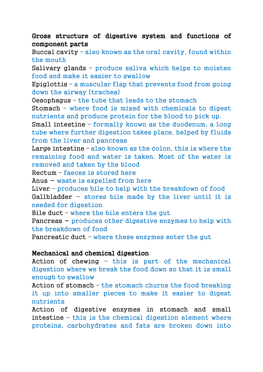## Gross structure of digestive system and functions of component parts

Buccal cavity – also known as the oral cavity, found within the mouth

Salivary glands – produce saliva which helps to moisten food and make it easier to swallow

Epiglottis – a muscular flap that prevents food from going down the airway (trachea)

Oesophagus – the tube that leads to the stomach

Stomach – where food is mixed with chemicals to digest nutrients and produce protein for the blood to pick up.

Small intestine – formally known as the duodenum, a long tube where further digestion takes place, helped by fluids from the liver and pancreas

Large intestine – also known as the colon, this is where the remaining food and water is taken. Most of the water is removed and taken by the blood

Rectum – faeces is stored here

Anus - waste is expelled from here

Liver – produces bile to help with the breakdown of food  $Gallbladder - stores bile made by the liver until it is$ needed for digestion

Bile duct – where the bile enters the gut

Pancreas - produces other digestive enzymes to help with the breakdown of food

Pancreatic duct – where these enzymes enter the gut

#### Mechanical and chemical digestion

Action of chewing – this is part of the mechanical digestion where we break the food down so that it is small enough to swallow

Action of stomach – the stomach churns the food breaking it up into smaller pieces to make it easier to digest nutrients

Action of digestive enzymes in stomach and small intestine – this is the chemical digestion element where proteins, carbohydrates and fats are broken down into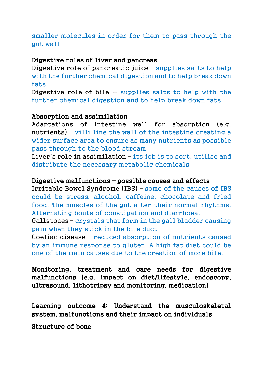## smaller molecules in order for them to pass through the gut wall

#### Digestive roles of liver and pancreas

Digestive role of pancreatic juice – supplies salts to help with the further chemical digestion and to help break down fats

Digestive role of bile  $-$  supplies salts to help with the further chemical digestion and to help break down fats

#### Absorption and assimilation

Adaptations of intestine wall for absorption (e.g. nutrients) – villi line the wall of the intestine creating a wider surface area to ensure as many nutrients as possible pass through to the blood stream

Liver's role in assimilation – its job is to sort, utilise and distribute the necessary metabolic chemicals

#### Digestive malfunctions – possible causes and effects

Irritable Bowel Syndrome (IBS) – some of the causes of IBS could be stress, alcohol, caffeine, chocolate and fried food. The muscles of the gut alter their normal rhythms. Alternating bouts of constipation and diarrhoea.

Gallstones – crystals that form in the gall bladder causing pain when they stick in the bile duct

Coeliac disease – reduced absorption of nutrients caused by an immune response to gluten. A high fat diet could be one of the main causes due to the creation of more bile.

Monitoring, treatment and care needs for digestive malfunctions (e.g. impact on diet/lifestyle, endoscopy, ultrasound, lithotripsy and monitoring, medication)

Learning outcome 4: Understand the musculoskeletal system, malfunctions and their impact on individuals

Structure of bone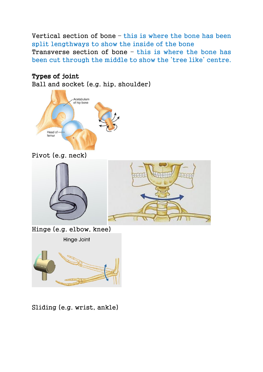Vertical section of bone – this is where the bone has been split lengthways to show the inside of the bone Transverse section of bone  $-$  this is where the bone has been cut through the middle to show the 'tree like' centre.

# Types of joint

Ball and socket (e.g. hip, shoulder)



Pivot (e.g. neck)



Hinge (e.g. elbow, knee)

Hinge Joint



Sliding (e.g. wrist, ankle)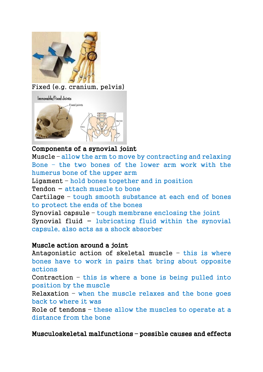

# Fixed (e.g. cranium, pelvis)

Immovable/Fixed Joints



## Components of a synovial joint

Muscle – allow the arm to move by contracting and relaxing Bone – the two bones of the lower arm work with the humerus bone of the upper arm Ligament – hold bones together and in position Tendon - attach muscle to bone Cartilage – tough smooth substance at each end of bones to protect the ends of the bones Synovial capsule – tough membrane enclosing the joint Synovial fluid - lubricating fluid within the synovial capsule, also acts as a shock absorber

## Muscle action around a joint

Antagonistic action of skeletal muscle – this is where bones have to work in pairs that bring about opposite actions

Contraction – this is where a bone is being pulled into position by the muscle

Relaxation – when the muscle relaxes and the bone goes back to where it was

Role of tendons – these allow the muscles to operate at a distance from the bone

Musculoskeletal malfunctions – possible causes and effects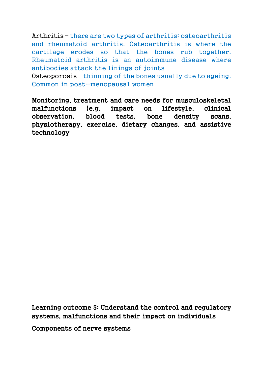Arthritis – there are two types of arthritis; osteoarthritis and rheumatoid arthritis. Osteoarthritis is where the cartilage erodes so that the bones rub together. Rheumatoid arthritis is an autoimmune disease where antibodies attack the linings of joints

Osteoporosis – thinning of the bones usually due to ageing. Common in post-menopausal women

Monitoring, treatment and care needs for musculoskeletal malfunctions (e.g. impact on lifestyle, clinical observation, blood tests, bone density scans, physiotherapy, exercise, dietary changes, and assistive technology

Learning outcome 5: Understand the control and regulatory systems, malfunctions and their impact on individuals

Components of nerve systems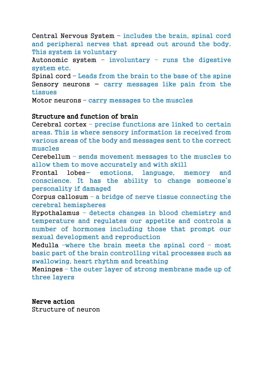Central Nervous System – includes the brain, spinal cord and peripheral nerves that spread out around the body. This system is voluntary

Autonomic system – involuntary – runs the digestive system etc.

Spinal cord – Leads from the brain to the base of the spine Sensory neurons  $-$  carry messages like pain from the tissues

Motor neurons – carry messages to the muscles

#### Structure and function of brain

Cerebral cortex – precise functions are linked to certain areas. This is where sensory information is received from various areas of the body and messages sent to the correct muscles

Cerebellum – sends movement messages to the muscles to allow them to move accurately and with skill

Frontal lobes- emotions, language, memory and conscience. It has the ability to change someone's personality if damaged

Corpus callosum – a bridge of nerve tissue connecting the cerebral hemispheres

Hypothalamus – detects changes in blood chemistry and temperature and regulates our appetite and controls a number of hormones including those that prompt our sexual development and reproduction

Medulla –where the brain meets the spinal cord – most basic part of the brain controlling vital processes such as swallowing, heart rhythm and breathing

Meninges – the outer layer of strong membrane made up of three layers

#### Nerve action

Structure of neuron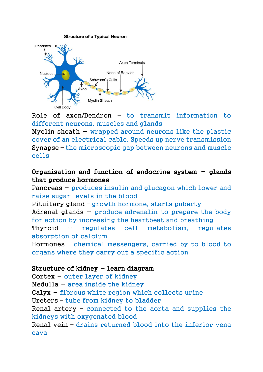**Structure of a Typical Neuron** 



Role of axon/Dendron – to transmit information to different neurons, muscles and glands

Myelin sheath  $-$  wrapped around neurons like the plastic cover of an electrical cable. Speeds up nerve transmission Synapse – the microscopic gap between neurons and muscle cells

## Organisation and function of endocrine system  $-$  glands that produce hormones

Pancreas - produces insulin and glucagon which lower and raise sugar levels in the blood

Pituitary gland – growth hormone, starts puberty Adrenal glands - produce adrenalin to prepare the body for action by increasing the heartbeat and breathing Thyroid - regulates cell metabolism, regulates absorption of calcium

Hormones – chemical messengers, carried by to blood to organs where they carry out a specific action

#### Structure of kidney  $-$  learn diagram

Cortex - outer layer of kidney Medulla  $-$  area inside the kidney Calyx - fibrous white region which collects urine Ureters – tube from kidney to bladder Renal artery – connected to the aorta and supplies the kidneys with oxygenated blood Renal vein – drains returned blood into the inferior vena cava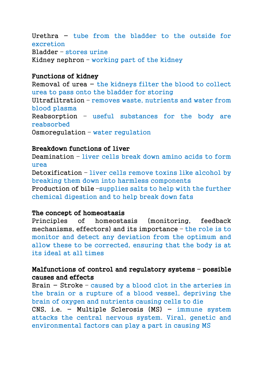Urethra - tube from the bladder to the outside for excretion Bladder – stores urine Kidney nephron – working part of the kidney

#### Functions of kidney

Removal of urea - the kidneys filter the blood to collect urea to pass onto the bladder for storing Ultrafiltration – removes waste, nutrients and water from blood plasma Reabsorption – useful substances for the body are reabsorbed Osmoregulation – water regulation

#### Breakdown functions of liver

Deamination – liver cells break down amino acids to form urea Detoxification – liver cells remove toxins like alcohol by breaking them down into harmless components Production of bile –supplies salts to help with the further chemical digestion and to help break down fats

#### The concept of homeostasis

Principles of homeostasis (monitoring, feedback mechanisms, effectors) and its importance – the role is to monitor and detect any deviation from the optimum and allow these to be corrected, ensuring that the body is at its ideal at all times

## Malfunctions of control and regulatory systems – possible causes and effects

Brain  $-$  Stroke  $-$  caused by a blood clot in the arteries in the brain or a rupture of a blood vessel, depriving the brain of oxygen and nutrients causing cells to die  $CNS$ , i.e. - Multiple Sclerosis  $(MS)$  - immune system attacks the central nervous system. Viral, genetic and environmental factors can play a part in causing MS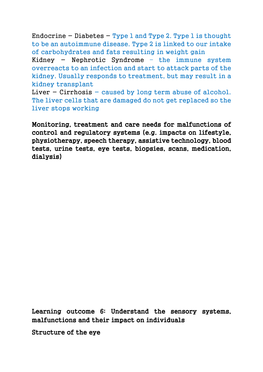Endocrine  $-$  Diabetes  $-$  Type 1 and Type 2. Type 1 is thought to be an autoimmune disease. Type 2 is linked to our intake of carbohydrates and fats resulting in weight gain

Kidney - Nephrotic Syndrome – the immune system overreacts to an infection and start to attack parts of the kidney. Usually responds to treatment, but may result in a kidney transplant

Liver  $-$  Cirrhosis  $-$  caused by long term abuse of alcohol. The liver cells that are damaged do not get replaced so the liver stops working

Monitoring, treatment and care needs for malfunctions of control and regulatory systems (e.g. impacts on lifestyle, physiotherapy, speech therapy, assistive technology, blood tests, urine tests, eye tests, biopsies, scans, medication, dialysis)

Learning outcome 6: Understand the sensory systems, malfunctions and their impact on individuals

Structure of the eye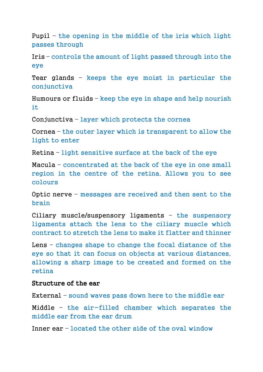Pupil – the opening in the middle of the iris which light passes through

Iris – controls the amount of light passed through into the eye

Tear glands – keeps the eye moist in particular the conjunctiva

Humours or fluids  $-$  keep the eye in shape and help nourish it

Conjunctiva – layer which protects the cornea

Cornea – the outer layer which is transparent to allow the light to enter

Retina – light sensitive surface at the back of the eye

Macula – concentrated at the back of the eye in one small region in the centre of the retina. Allows you to see colours

Optic nerve – messages are received and then sent to the brain

Ciliary muscle/suspensory ligaments – the suspensory ligaments attach the lens to the ciliary muscle which contract to stretch the lens to make it flatter and thinner

Lens – changes shape to change the focal distance of the eye so that it can focus on objects at various distances, allowing a sharp image to be created and formed on the retina

#### Structure of the ear

External – sound waves pass down here to the middle ear

Middle – the air-filled chamber which separates the middle ear from the ear drum

Inner ear – located the other side of the oval window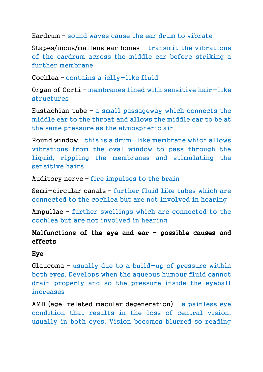Eardrum – sound waves cause the ear drum to vibrate

Stapes/incus/malleus ear bones – transmit the vibrations of the eardrum across the middle ear before striking a further membrane

Cochlea – contains a jelly-like fluid

Organ of Corti – membranes lined with sensitive hair-like structures

Eustachian tube – a small passageway which connects the middle ear to the throat and allows the middle ear to be at the same pressure as the atmospheric air

Round window – this is a drum-like membrane which allows vibrations from the oval window to pass through the liquid, rippling the membranes and stimulating the sensitive hairs

Auditory nerve – fire impulses to the brain

Semi-circular canals – further fluid like tubes which are connected to the cochlea but are not involved in hearing

Ampullae – further swellings which are connected to the cochlea but are not involved in hearing

# Malfunctions of the eye and ear – possible causes and effects

## Eye

Glaucoma – usually due to a build-up of pressure within both eyes. Develops when the aqueous humour fluid cannot drain properly and so the pressure inside the eyeball increases

AMD (age-related macular degeneration)  $-$  a painless eye condition that results in the loss of central vision, usually in both eyes. Vision becomes blurred so reading